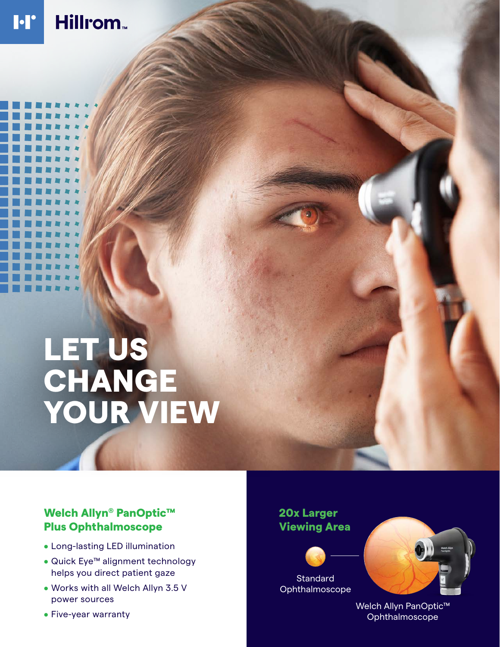#### Hillrom<sub>w</sub> **I·I'**

# LET US CHANGE YOUR VIEW

### Welch Allyn® PanOptic™ Plus Ophthalmoscope

- Long-lasting LED illumination
- Quick Eye™ alignment technology helps you direct patient gaze
- Works with all Welch Allyn 3.5 V power sources
- Five-year warranty

## 20x Larger Viewing Area





Welch Allyn PanOptic™ Ophthalmoscope